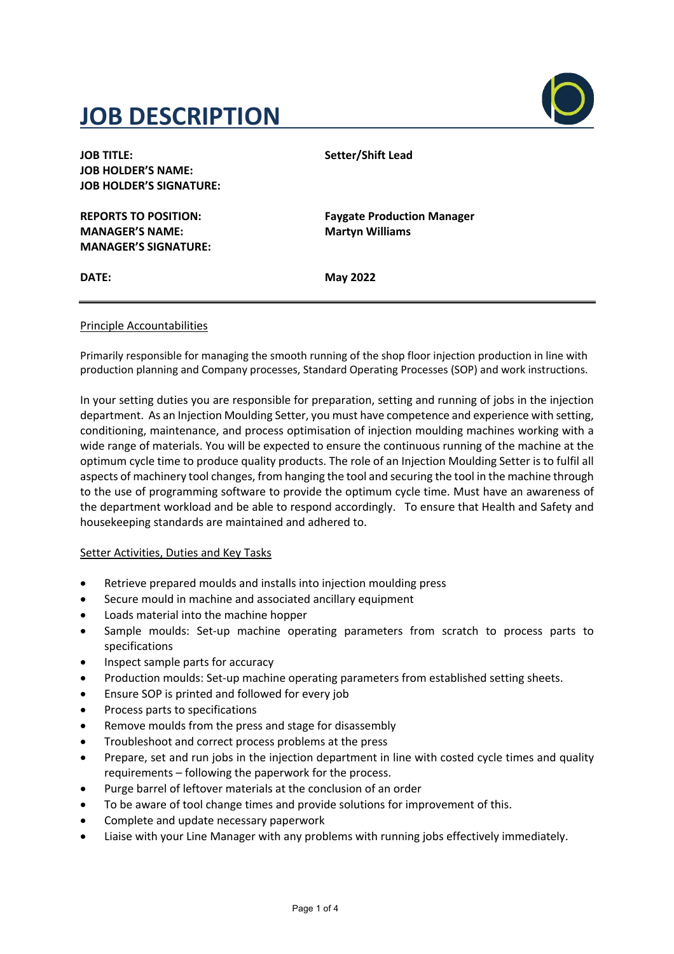# **JOB DESCRIPTION**



| <b>JOB TITLE:</b>              |  |
|--------------------------------|--|
| <b>JOB HOLDER'S NAME:</b>      |  |
| <b>JOB HOLDER'S SIGNATURE:</b> |  |
|                                |  |

**MANAGER'S NAME: Martyn Williams MANAGER'S SIGNATURE:**

**Setter/Shift Lead** 

**REPORTS TO POSITION: Faygate Production Manager**

**DATE: May 2022**

### Principle Accountabilities

Primarily responsible for managing the smooth running of the shop floor injection production in line with production planning and Company processes, Standard Operating Processes (SOP) and work instructions.

In your setting duties you are responsible for preparation, setting and running of jobs in the injection department. As an Injection Moulding Setter, you must have competence and experience with setting, conditioning, maintenance, and process optimisation of injection moulding machines working with a wide range of materials. You will be expected to ensure the continuous running of the machine at the optimum cycle time to produce quality products. The role of an Injection Moulding Setter is to fulfil all aspects of machinery tool changes, from hanging the tool and securing the tool in the machine through to the use of programming software to provide the optimum cycle time. Must have an awareness of the department workload and be able to respond accordingly. To ensure that Health and Safety and housekeeping standards are maintained and adhered to.

#### Setter Activities, Duties and Key Tasks

- Retrieve prepared moulds and installs into injection moulding press
- Secure mould in machine and associated ancillary equipment
- Loads material into the machine hopper
- Sample moulds: Set-up machine operating parameters from scratch to process parts to specifications
- Inspect sample parts for accuracy
- Production moulds: Set-up machine operating parameters from established setting sheets.
- Ensure SOP is printed and followed for every job
- Process parts to specifications
- Remove moulds from the press and stage for disassembly
- Troubleshoot and correct process problems at the press
- Prepare, set and run jobs in the injection department in line with costed cycle times and quality requirements – following the paperwork for the process.
- Purge barrel of leftover materials at the conclusion of an order
- To be aware of tool change times and provide solutions for improvement of this.
- Complete and update necessary paperwork
- Liaise with your Line Manager with any problems with running jobs effectively immediately.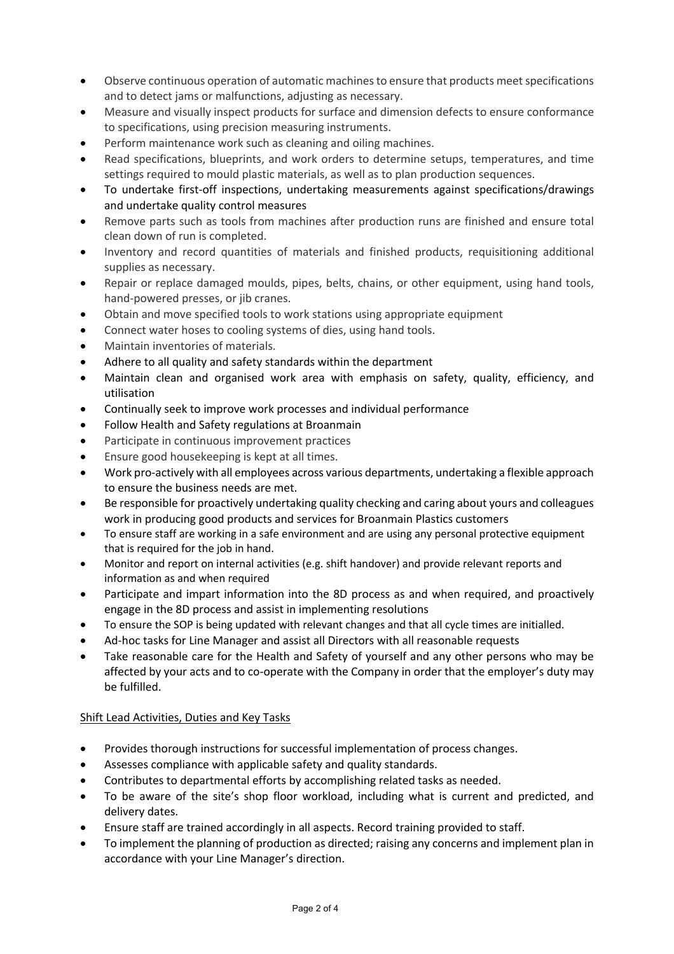- Observe continuous operation of automatic machines to ensure that products meet specifications and to detect jams or malfunctions, adjusting as necessary.
- Measure and visually inspect products for surface and dimension defects to ensure conformance to specifications, using precision measuring instruments.
- Perform maintenance work such as cleaning and oiling machines.
- Read specifications, blueprints, and work orders to determine setups, temperatures, and time settings required to mould plastic materials, as well as to plan production sequences.
- To undertake first-off inspections, undertaking measurements against specifications/drawings and undertake quality control measures
- Remove parts such as tools from machines after production runs are finished and ensure total clean down of run is completed.
- Inventory and record quantities of materials and finished products, requisitioning additional supplies as necessary.
- Repair or replace damaged moulds, pipes, belts, chains, or other equipment, using hand tools, hand-powered presses, or jib cranes.
- Obtain and move specified tools to work stations using appropriate equipment
- Connect water hoses to cooling systems of dies, using hand tools.
- Maintain inventories of materials.
- Adhere to all quality and safety standards within the department
- Maintain clean and organised work area with emphasis on safety, quality, efficiency, and utilisation
- Continually seek to improve work processes and individual performance
- Follow Health and Safety regulations at Broanmain
- Participate in continuous improvement practices
- Ensure good housekeeping is kept at all times.
- Work pro-actively with all employees across various departments, undertaking a flexible approach to ensure the business needs are met.
- Be responsible for proactively undertaking quality checking and caring about yours and colleagues work in producing good products and services for Broanmain Plastics customers
- To ensure staff are working in a safe environment and are using any personal protective equipment that is required for the job in hand.
- Monitor and report on internal activities (e.g. shift handover) and provide relevant reports and information as and when required
- Participate and impart information into the 8D process as and when required, and proactively engage in the 8D process and assist in implementing resolutions
- To ensure the SOP is being updated with relevant changes and that all cycle times are initialled.
- Ad-hoc tasks for Line Manager and assist all Directors with all reasonable requests
- Take reasonable care for the Health and Safety of yourself and any other persons who may be affected by your acts and to co-operate with the Company in order that the employer's duty may be fulfilled.

#### Shift Lead Activities, Duties and Key Tasks

- Provides thorough instructions for successful implementation of process changes.
- Assesses compliance with applicable safety and quality standards.
- Contributes to departmental efforts by accomplishing related tasks as needed.
- To be aware of the site's shop floor workload, including what is current and predicted, and delivery dates.
- Ensure staff are trained accordingly in all aspects. Record training provided to staff.
- To implement the planning of production as directed; raising any concerns and implement plan in accordance with your Line Manager's direction.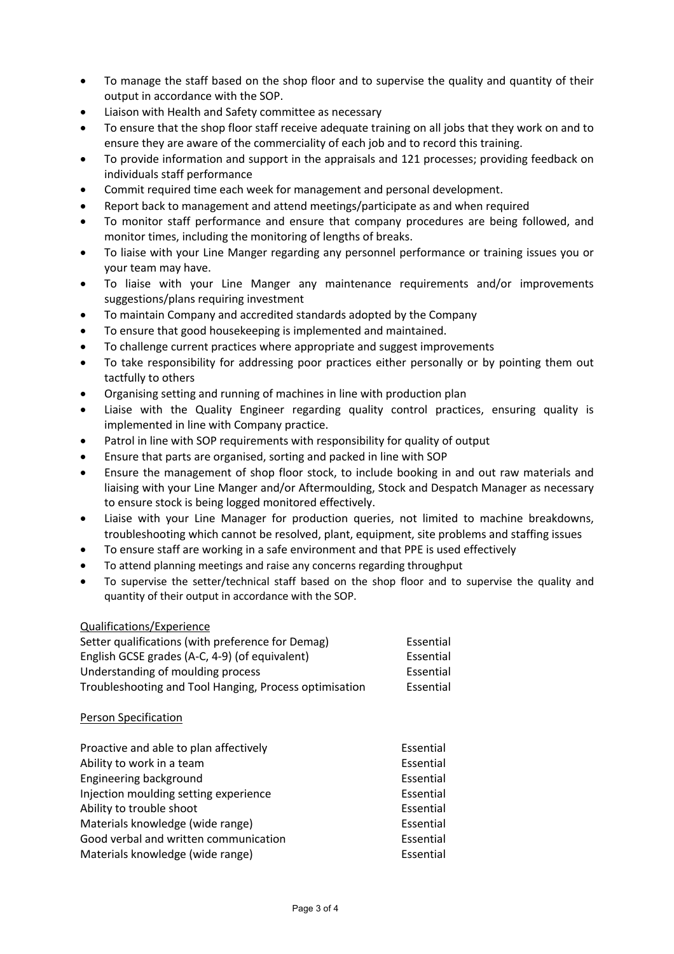- To manage the staff based on the shop floor and to supervise the quality and quantity of their output in accordance with the SOP.
- Liaison with Health and Safety committee as necessary
- To ensure that the shop floor staff receive adequate training on all jobs that they work on and to ensure they are aware of the commerciality of each job and to record this training.
- To provide information and support in the appraisals and 121 processes; providing feedback on individuals staff performance
- Commit required time each week for management and personal development.
- Report back to management and attend meetings/participate as and when required
- To monitor staff performance and ensure that company procedures are being followed, and monitor times, including the monitoring of lengths of breaks.
- To liaise with your Line Manger regarding any personnel performance or training issues you or your team may have.
- To liaise with your Line Manger any maintenance requirements and/or improvements suggestions/plans requiring investment
- To maintain Company and accredited standards adopted by the Company
- To ensure that good housekeeping is implemented and maintained.
- To challenge current practices where appropriate and suggest improvements
- To take responsibility for addressing poor practices either personally or by pointing them out tactfully to others
- Organising setting and running of machines in line with production plan
- Liaise with the Quality Engineer regarding quality control practices, ensuring quality is implemented in line with Company practice.
- Patrol in line with SOP requirements with responsibility for quality of output
- Ensure that parts are organised, sorting and packed in line with SOP
- Ensure the management of shop floor stock, to include booking in and out raw materials and liaising with your Line Manger and/or Aftermoulding, Stock and Despatch Manager as necessary to ensure stock is being logged monitored effectively.
- Liaise with your Line Manager for production queries, not limited to machine breakdowns, troubleshooting which cannot be resolved, plant, equipment, site problems and staffing issues
- To ensure staff are working in a safe environment and that PPE is used effectively
- To attend planning meetings and raise any concerns regarding throughput
- To supervise the setter/technical staff based on the shop floor and to supervise the quality and quantity of their output in accordance with the SOP.

#### Qualifications/Experience

| Setter qualifications (with preference for Demag)      | Essential |
|--------------------------------------------------------|-----------|
| English GCSE grades (A-C, 4-9) (of equivalent)         | Essential |
| Understanding of moulding process                      | Essential |
| Troubleshooting and Tool Hanging, Process optimisation | Essential |

#### Person Specification

| Proactive and able to plan affectively | Essential |
|----------------------------------------|-----------|
| Ability to work in a team              | Essential |
| Engineering background                 | Essential |
| Injection moulding setting experience  | Essential |
| Ability to trouble shoot               | Essential |
| Materials knowledge (wide range)       | Essential |
| Good verbal and written communication  | Essential |
| Materials knowledge (wide range)       | Essential |